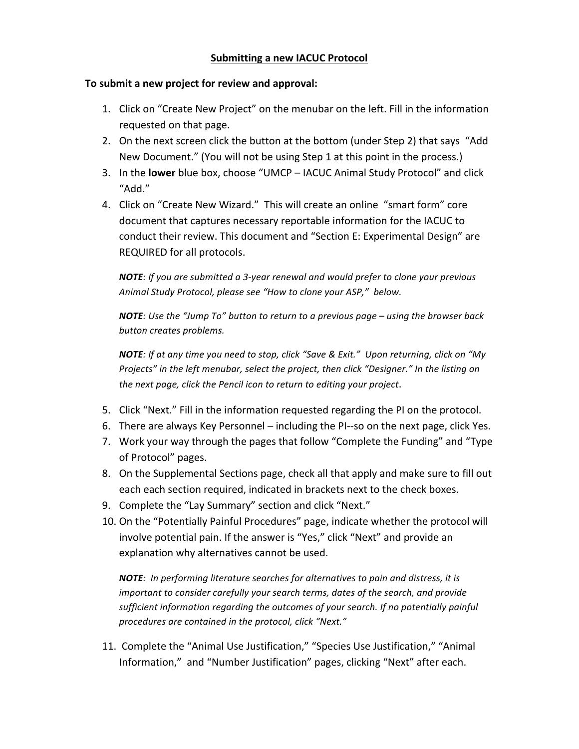## To submit a new project for review and approval:

- 1. Click on "Create New Project" on the menubar on the left. Fill in the information requested on that page.
- 2. On the next screen click the button at the bottom (under Step 2) that says "Add New Document." (You will not be using Step 1 at this point in the process.)
- 3. In the **lower** blue box, choose "UMCP IACUC Animal Study Protocol" and click "Add."
- 4. Click on "Create New Wizard." This will create an online "smart form" core document that captures necessary reportable information for the IACUC to conduct their review. This document and "Section E: Experimental Design" are REQUIRED for all protocols.

**NOTE**: If you are submitted a 3-year renewal and would prefer to clone your previous Animal Study Protocol, please see "How to clone your ASP," below.

**NOTE**: Use the "Jump To" button to return to a previous page – using the browser back *button creates problems.* 

**NOTE**: If at any time you need to stop, click "Save & Exit." Upon returning, click on "My Projects" in the left menubar, select the project, then click "Designer." In the listing on the next page, click the Pencil icon to return to editing your project.

- 5. Click "Next." Fill in the information requested regarding the PI on the protocol.
- 6. There are always Key Personnel including the PI--so on the next page, click Yes.
- 7. Work your way through the pages that follow "Complete the Funding" and "Type of Protocol" pages.
- 8. On the Supplemental Sections page, check all that apply and make sure to fill out each each section required, indicated in brackets next to the check boxes.
- 9. Complete the "Lay Summary" section and click "Next."
- 10. On the "Potentially Painful Procedures" page, indicate whether the protocol will involve potential pain. If the answer is "Yes," click "Next" and provide an explanation why alternatives cannot be used.

**NOTE**: In performing literature searches for alternatives to pain and distress, it is *important to consider carefully your search terms, dates of the search, and provide* sufficient information regarding the outcomes of your search. If no potentially painful procedures are contained in the protocol, click "Next."

11. Complete the "Animal Use Justification," "Species Use Justification," "Animal Information," and "Number Justification" pages, clicking "Next" after each.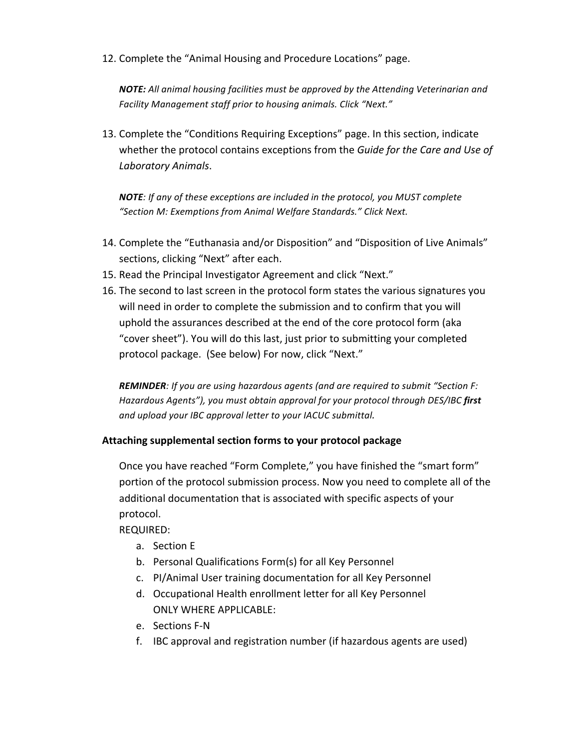12. Complete the "Animal Housing and Procedure Locations" page.

**NOTE:** All animal housing facilities must be approved by the Attending Veterinarian and Facility Management staff prior to housing animals. Click "Next."

13. Complete the "Conditions Requiring Exceptions" page. In this section, indicate whether the protocol contains exceptions from the Guide for the Care and Use of *Laboratory Animals*. 

**NOTE**: If any of these exceptions are included in the protocol, you MUST complete "Section M: Exemptions from Animal Welfare Standards." Click Next.

- 14. Complete the "Euthanasia and/or Disposition" and "Disposition of Live Animals" sections, clicking "Next" after each.
- 15. Read the Principal Investigator Agreement and click "Next."
- 16. The second to last screen in the protocol form states the various signatures you will need in order to complete the submission and to confirm that you will uphold the assurances described at the end of the core protocol form (aka "cover sheet"). You will do this last, just prior to submitting your completed protocol package. (See below) For now, click "Next."

**REMINDER**: If you are using hazardous agents (and are required to submit "Section F: Hazardous Agents"), you must obtain approval for your protocol through DES/IBC first and upload your IBC approval letter to your IACUC submittal.

## Attaching supplemental section forms to your protocol package

Once you have reached "Form Complete," you have finished the "smart form" portion of the protocol submission process. Now you need to complete all of the additional documentation that is associated with specific aspects of your protocol. 

REQUIRED:

- a. Section E
- b. Personal Qualifications Form(s) for all Key Personnel
- c. PI/Animal User training documentation for all Key Personnel
- d. Occupational Health enrollment letter for all Key Personnel ONLY WHERE APPLICABLE:
- e. Sections F-N
- f. IBC approval and registration number (if hazardous agents are used)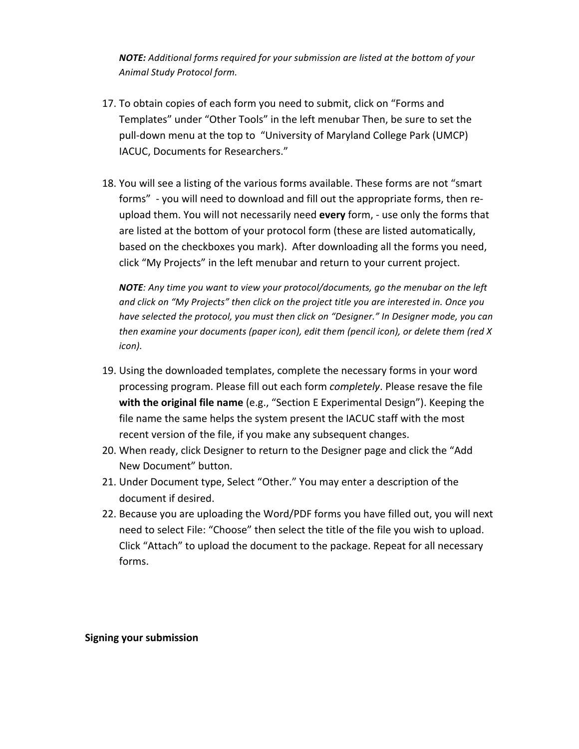**NOTE:** Additional forms required for your submission are listed at the bottom of your *Animal Study Protocol form.* 

- 17. To obtain copies of each form you need to submit, click on "Forms and Templates" under "Other Tools" in the left menubar Then, be sure to set the pull-down menu at the top to "University of Maryland College Park (UMCP) IACUC, Documents for Researchers."
- 18. You will see a listing of the various forms available. These forms are not "smart forms" - you will need to download and fill out the appropriate forms, then reupload them. You will not necessarily need every form, - use only the forms that are listed at the bottom of your protocol form (these are listed automatically, based on the checkboxes you mark). After downloading all the forms you need, click "My Projects" in the left menubar and return to your current project.

**NOTE**: Any time you want to view your protocol/documents, go the menubar on the left and click on "My Projects" then click on the project title you are interested in. Once you have selected the protocol, you must then click on "Designer." In Designer mode, you can *then* examine your documents (paper icon), edit them (pencil icon), or delete them (red X *icon*).

- 19. Using the downloaded templates, complete the necessary forms in your word processing program. Please fill out each form *completely*. Please resave the file **with the original file name** (e.g., "Section E Experimental Design"). Keeping the file name the same helps the system present the IACUC staff with the most recent version of the file, if you make any subsequent changes.
- 20. When ready, click Designer to return to the Designer page and click the "Add New Document" button.
- 21. Under Document type, Select "Other." You may enter a description of the document if desired.
- 22. Because you are uploading the Word/PDF forms you have filled out, you will next need to select File: "Choose" then select the title of the file you wish to upload. Click "Attach" to upload the document to the package. Repeat for all necessary forms.

**Signing your submission**